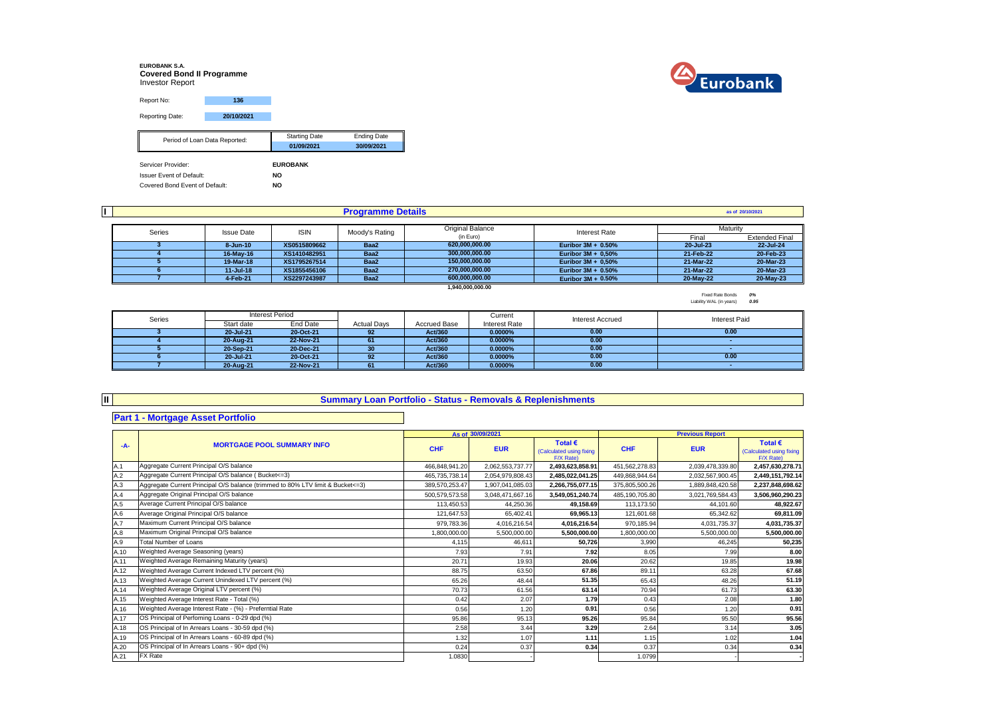# **EUROBANK S.A. Covered Bond II Programme** Investor Report



| Report No:                      | 136                           |                      |                    |
|---------------------------------|-------------------------------|----------------------|--------------------|
|                                 |                               |                      |                    |
| Reporting Date:                 | 20/10/2021                    |                      |                    |
|                                 |                               | <b>Starting Date</b> | <b>Ending Date</b> |
|                                 | Period of Loan Data Reported: | 01/09/2021           | 30/09/2021         |
| Servicer Provider:              |                               | <b>EUROBANK</b>      |                    |
|                                 |                               |                      |                    |
| <b>Issuer Event of Default:</b> |                               | NO                   |                    |
| Covered Bond Event of Default:  |                               | <b>NO</b>            |                    |

|        | <b>Programme Details</b> |                                                    |      |                |                       |           |                       |
|--------|--------------------------|----------------------------------------------------|------|----------------|-----------------------|-----------|-----------------------|
|        | <b>Original Balance</b>  |                                                    |      |                |                       |           |                       |
| Series |                          | <b>ISIN</b><br>Moody's Rating<br><b>Issue Date</b> |      | (in Euro)      | <b>Interest Rate</b>  | Final     | <b>Extended Final</b> |
|        | 8-Jun-10                 | XS0515809662                                       | Baa2 | 620.000.000.00 | Euribor $3M + 0.50\%$ | 20-Jul-23 | 22-Jul-24             |
|        | 16-May-16                | XS1410482951                                       | Baa2 | 300.000.000.00 | Euribor $3M + 0.50\%$ | 21-Feb-22 | 20-Feb-23             |
|        | 19-Mar-18                | XS1795267514                                       | Baa2 | 150.000.000.00 | Euribor $3M + 0.50\%$ | 21-Mar-22 | 20-Mar-23             |
|        | $11 -$ Jul-18            | XS1855456106                                       | Baa2 | 270.000.000.00 | Euribor $3M + 0.50\%$ | 21-Mar-22 | 20-Mar-23             |
|        | 4-Feb-21                 | XS2297243987                                       | Baa2 | 600.000.000.00 | Euribor $3M + 0.50%$  | 20-May-22 | 20-May-23             |

**1,940,000,000.00**

Fixed Rate Bonds *0%* Liability WAL (in years) *0.95*

| Series | <b>Interest Period</b> |           |                    |                     | Current              | <b>Interest Accrued</b> | Interest Paid |  |
|--------|------------------------|-----------|--------------------|---------------------|----------------------|-------------------------|---------------|--|
|        | Start date             | End Date  | <b>Actual Davs</b> | <b>Accrued Base</b> | <b>Interest Rate</b> |                         |               |  |
|        | 20-Jul-21              | 20-Oct-21 | 92                 | Act/360             | 0.0000%              | 0.00                    | 0.00          |  |
|        | 20-Aug-21              | 22-Nov-21 | 61                 | Act/360             | 0.0000%              | 0.00                    |               |  |
|        | 20-Sep-21              | 20-Dec-21 | 30                 | Act/360             | 0.0000%              | 0.00                    |               |  |
|        | 20-Jul-21              | 20-Oct-21 | 92                 | Act/360             | 0.0000%              | 0.00                    | 0.00          |  |
|        | 20-Aug-21              | 22-Nov-21 |                    | Act/360             | 0.0000%              | 0.00                    |               |  |

#### **Summary Loan Portfolio - Status - Removals & Replenishments**

### **Part 1 - Mortgage Asset Portfolio**

**II**

|       |                                                                                  |                | As of 30/09/2021 |                                                           |                | <b>Previous Report</b> |                                                           |
|-------|----------------------------------------------------------------------------------|----------------|------------------|-----------------------------------------------------------|----------------|------------------------|-----------------------------------------------------------|
| $-A-$ | <b>MORTGAGE POOL SUMMARY INFO</b>                                                | <b>CHF</b>     | <b>EUR</b>       | Total $\epsilon$<br>(Calculated using fixing<br>F/X Rate) | <b>CHF</b>     | <b>EUR</b>             | Total $\epsilon$<br>(Calculated using fixing<br>F/X Rate) |
| A.1   | Aggregate Current Principal O/S balance                                          | 466.848.941.20 | 2,062,553,737.77 | 2,493,623,858.91                                          | 451,562,278.83 | 2,039,478,339.80       | 2,457,630,278.71                                          |
| A.2   | Aggregate Current Principal O/S balance (Bucket<=3)                              | 465,735,738.14 | 2,054,979,808.43 | 2,485,022,041.25                                          | 449,868,944.64 | 2,032,567,900.45       | 2,449,151,792.14                                          |
| A.3   | Aggregate Current Principal O/S balance (trimmed to 80% LTV limit & Bucket <= 3) | 389,570,253.47 | 1,907,041,085.03 | 2,266,755,077.15                                          | 375,805,500.26 | 1,889,848,420.58       | 2,237,848,698.62                                          |
| A.4   | Aggregate Original Principal O/S balance                                         | 500,579,573.58 | 3,048,471,667.16 | 3,549,051,240.74                                          | 485,190,705.80 | 3,021,769,584.43       | 3,506,960,290.23                                          |
| A.5   | Average Current Principal O/S balance                                            | 113,450.53     | 44,250.36        | 49,158.69                                                 | 113,173.50     | 44.101.60              | 48,922.67                                                 |
| A.6   | Average Original Principal O/S balance                                           | 121,647.53     | 65,402.41        | 69.965.13                                                 | 121,601.68     | 65.342.62              | 69,811.09                                                 |
| A.7   | Maximum Current Principal O/S balance                                            | 979.783.36     | 4,016,216.54     | 4,016,216.54                                              | 970.185.94     | 4,031,735.37           | 4,031,735.37                                              |
| A.8   | Maximum Original Principal O/S balance                                           | 1,800,000.00   | 5.500.000.00     | 5,500,000.00                                              | 1,800,000.00   | 5.500.000.00           | 5,500,000.00                                              |
| A.9   | <b>Total Number of Loans</b>                                                     | 4.115          | 46.611           | 50.726                                                    | 3.990          | 46.245                 | 50,235                                                    |
| A.10  | Weighted Average Seasoning (years)                                               | 7.93           | 7.91             | 7.92                                                      | 8.05           | 7.99                   | 8.00                                                      |
| A.11  | Weighted Average Remaining Maturity (years)                                      | 20.7'          | 19.93            | 20.06                                                     | 20.62          | 19.85                  | 19.98                                                     |
| A.12  | Weighted Average Current Indexed LTV percent (%)                                 | 88.75          | 63.50            | 67.86                                                     | 89.11          | 63.28                  | 67.68                                                     |
| A.13  | Weighted Average Current Unindexed LTV percent (%)                               | 65.26          | 48.44            | 51.35                                                     | 65.43          | 48.26                  | 51.19                                                     |
| A.14  | Weighted Average Original LTV percent (%)                                        | 70.73          | 61.56            | 63.14                                                     | 70.94          | 61.73                  | 63.30                                                     |
| A.15  | Weighted Average Interest Rate - Total (%)                                       | 0.42           | 2.07             | 1.79                                                      | 0.43           | 2.08                   | 1.80                                                      |
| A.16  | Weighted Average Interest Rate - (%) - Preferntial Rate                          | 0.56           | 1.20             | 0.91                                                      | 0.56           | 1.20                   | 0.91                                                      |
| A.17  | OS Principal of Perfoming Loans - 0-29 dpd (%)                                   | 95.86          | 95.13            | 95.26                                                     | 95.84          | 95.50                  | 95.56                                                     |
| A.18  | OS Principal of In Arrears Loans - 30-59 dpd (%)                                 | 2.58           | 3.44             | 3.29                                                      | 2.64           | 3.14                   | 3.05                                                      |
| A.19  | OS Principal of In Arrears Loans - 60-89 dpd (%)                                 | 1.32           | 1.07             | 1.11                                                      | 1.15           | 1.02                   | 1.04                                                      |
| A.20  | OS Principal of In Arrears Loans - 90+ dpd (%)                                   | 0.24           | 0.37             | 0.34                                                      | 0.37           | 0.34                   | 0.34                                                      |
| A.21  | FX Rate                                                                          | 1.0830         |                  |                                                           | 1.0799         |                        |                                                           |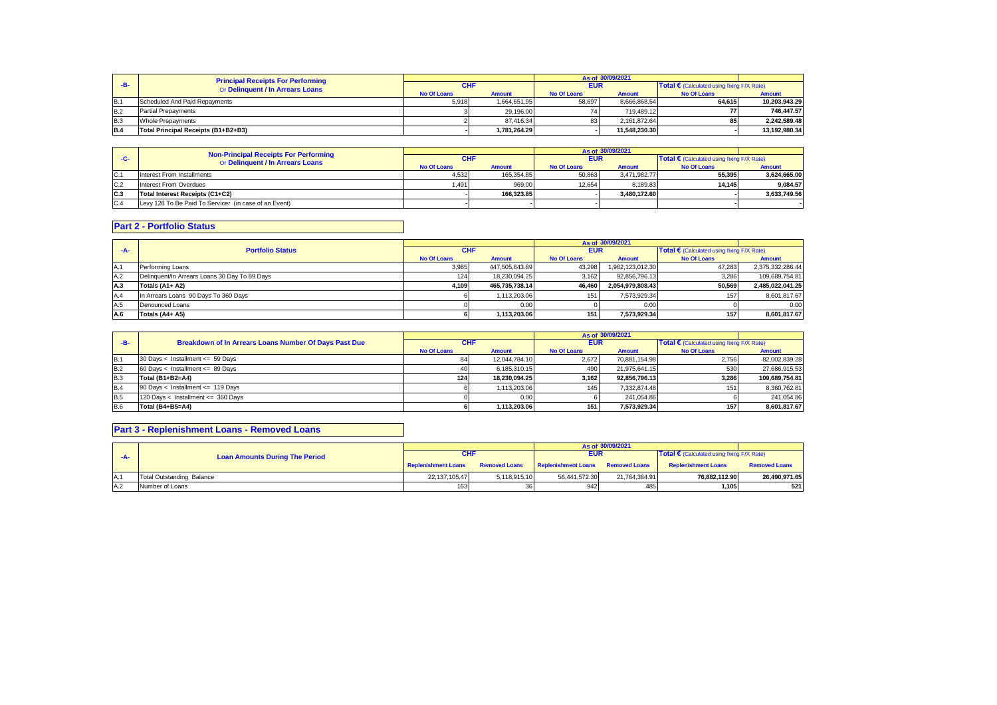|            | <b>Principal Receipts For Performing</b> |             |               |             | As of 30/09/2021 |                                            |               |
|------------|------------------------------------------|-------------|---------------|-------------|------------------|--------------------------------------------|---------------|
| $-B-$      | Or Delinquent / In Arrears Loans         | <b>CHF</b>  |               | <b>EUR</b>  |                  | Total € (Calculated using fixing F/X Rate) |               |
|            |                                          | No Of Loans | <b>Amount</b> | No Of Loans | Amount           | No Of Loans                                | <b>Amount</b> |
| B.1        | Scheduled And Paid Repayments            | 5.918       | 1.664.651.95  | 58.697      | 8.666.868.54     | 64.615                                     | 10.203.943.29 |
| B.2        | <b>Partial Prepayments</b>               |             | 29.196.00     |             | 719.489.12       |                                            | 746.447.57    |
| <b>B.3</b> | Whole Prepayments                        |             | 87.416.34     | 83          | 2.161.872.64     | 85                                         | 2.242.589.48  |
| <b>B.4</b> | Total Principal Receipts (B1+B2+B3)      |             | 1.781.264.29  |             | 11.548.230.30    |                                            | 13.192.980.34 |

|     | <b>Non-Principal Receipts For Performing</b>          |                    |               |                    | As of 30/09/2021 |                                                     |               |
|-----|-------------------------------------------------------|--------------------|---------------|--------------------|------------------|-----------------------------------------------------|---------------|
| -C- | Or Delinquent / In Arrears Loans                      |                    |               | EUR                |                  | Total $\epsilon$ (Calculated using fixing F/X Rate) |               |
|     |                                                       | <b>No Of Loans</b> | <b>Amount</b> | <b>No Of Loans</b> | <b>Amount</b>    | No Of Loans                                         | <b>Amount</b> |
| C.1 | Interest From Installments                            | 4.532              | 165.354.85    | 50.863             | 3.471.982.77     | 55.395                                              | 3.624.665.00  |
| C.2 | Interest From Overdues                                | 1.491 l            | 969.00        | 12.654             | 8.189.83         | 14.145                                              | 9.084.57      |
| C.3 | Total Interest Receipts (C1+C2)                       |                    | 166.323.85    |                    | 3.480.172.60     |                                                     | 3.633.749.56  |
| C.4 | Levy 128 To Be Paid To Servicer (in case of an Event) |                    |               |                    |                  |                                                     |               |
|     |                                                       |                    |               |                    |                  |                                                     |               |

## **Part 2 - Portfolio Status**

|                                               |                    |               | As of 30/09/2021   |                                                                                   |                                            |                                                                                               |
|-----------------------------------------------|--------------------|---------------|--------------------|-----------------------------------------------------------------------------------|--------------------------------------------|-----------------------------------------------------------------------------------------------|
| <b>Portfolio Status</b>                       | <b>CHF</b>         |               | <b>EUR</b>         |                                                                                   | Total € (Calculated using fixing F/X Rate) |                                                                                               |
|                                               | <b>No Of Loans</b> | <b>Amount</b> | <b>No Of Loans</b> | <b>Amount</b>                                                                     | <b>No Of Loans</b>                         | <b>Amount</b>                                                                                 |
| Performing Loans                              | 3.985              |               | 43,298             |                                                                                   | 47,283                                     | 2,375,332,286.44                                                                              |
| Delinquent/In Arrears Loans 30 Day To 89 Days | 124 <sub>1</sub>   |               | 3.162              |                                                                                   | 3,286                                      | 109,689,754.81                                                                                |
| Totals (A1+ A2)                               | 4.109              |               | 46.460             |                                                                                   | 50,569                                     | 2,485,022,041.25                                                                              |
| In Arrears Loans 90 Days To 360 Days          |                    |               | 151                |                                                                                   | 157                                        | 8,601,817.67                                                                                  |
| Denounced Loans                               |                    | 0.00          |                    |                                                                                   |                                            | 0.00                                                                                          |
| Totals (A4+ A5)                               |                    |               |                    |                                                                                   | 157                                        | 8,601,817.67                                                                                  |
|                                               |                    |               |                    | 447.505.643.89<br>18.230.094.25<br>465.735.738.14<br>1,113,203.06<br>1.113.203.06 | 1511                                       | 1,962,123,012.30<br>92,856,796.13<br>2,054,979,808.43<br>7,573,929.34<br>0.00<br>7.573.929.34 |

| $-B-$                              |                                                       |               |                    | As of 30/09/2021                                                                       |                                                     |                                                                                                                               |
|------------------------------------|-------------------------------------------------------|---------------|--------------------|----------------------------------------------------------------------------------------|-----------------------------------------------------|-------------------------------------------------------------------------------------------------------------------------------|
|                                    | <b>CHF</b>                                            |               | <b>EUR</b>         |                                                                                        | Total $\epsilon$ (Calculated using fixing F/X Rate) |                                                                                                                               |
|                                    | <b>No Of Loans</b>                                    | <b>Amount</b> | <b>No Of Loans</b> | <b>Amount</b>                                                                          | <b>No Of Loans</b>                                  | Amount                                                                                                                        |
| 30 Days < Installment <= 59 Days   |                                                       |               | 2.672              |                                                                                        |                                                     | 82,002,839.28                                                                                                                 |
| 60 Days < Installment <= 89 Days   |                                                       |               | 490                |                                                                                        |                                                     | 27,686,915.53                                                                                                                 |
| Total (B1+B2=A4)                   | 124                                                   |               | 3.162              |                                                                                        |                                                     | 109,689,754.81                                                                                                                |
| 90 Days < Installment <= 119 Days  |                                                       |               | 145                |                                                                                        | 151                                                 | 8,360,762.81                                                                                                                  |
| 120 Days < Installment <= 360 Days |                                                       |               |                    |                                                                                        |                                                     | 241.054.86                                                                                                                    |
| Total (B4+B5=A4)                   |                                                       |               | 151                |                                                                                        |                                                     | 8,601,817.67                                                                                                                  |
|                                    | Breakdown of In Arrears Loans Number Of Days Past Due |               |                    | 12.044.784.10<br>6.185.310.15<br>18.230.094.25<br>1.113.203.06<br>0.00<br>1.113.203.06 |                                                     | 70,881,154.98<br>2.756<br>21.975.641.15<br>530<br>92.856.796.13<br>3.286<br>7.332.874.48<br>241.054.86<br>7.573.929.34<br>157 |

### **Part 3 - Replenishment Loans - Removed Loans**

|      | <b>Loan Amounts During The Period</b> |                            |              |                                                 | As of 30/09/2021 |                                                   |                      |
|------|---------------------------------------|----------------------------|--------------|-------------------------------------------------|------------------|---------------------------------------------------|----------------------|
| -A-  |                                       | <b>CHF</b>                 |              | <b>EUR</b>                                      |                  | <b>Total €</b> (Calculated using fixing F/X Rate) |                      |
|      |                                       | <b>Replenishment Loans</b> |              | Removed Loans Replenishment Loans Removed Loans |                  | <b>Replenishment Loans</b>                        | <b>Removed Loans</b> |
| IA.1 | Total Outstanding Balance             | 22.137.105.47              | 5.118.915.10 | 56.441.572.30                                   | 21.764.364.91    | 76.882.112.90                                     | 26.490.971.65        |
| A.2  | Number of Loans                       | 163                        |              | 942                                             | 485              | 1.105                                             | 521                  |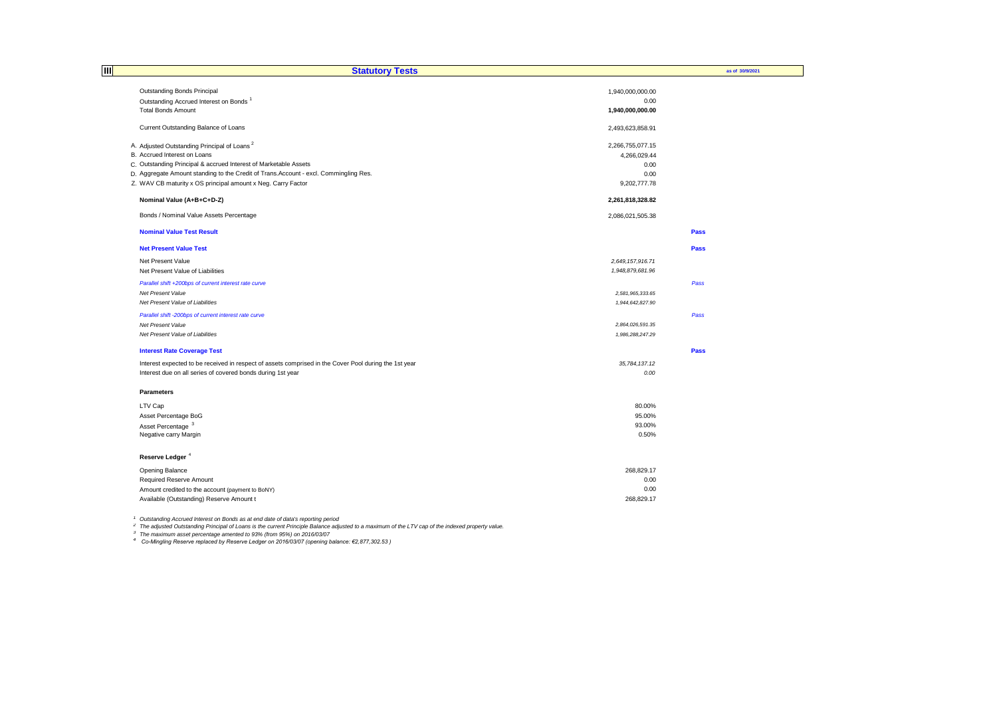| 目<br><b>Statutory Tests</b>                                                                           |                    | as of 30/9/2021 |
|-------------------------------------------------------------------------------------------------------|--------------------|-----------------|
|                                                                                                       |                    |                 |
| Outstanding Bonds Principal                                                                           | 1,940,000,000.00   |                 |
| Outstanding Accrued Interest on Bonds <sup>1</sup>                                                    | 0.00               |                 |
| <b>Total Bonds Amount</b>                                                                             | 1,940,000,000.00   |                 |
| Current Outstanding Balance of Loans                                                                  | 2,493,623,858.91   |                 |
|                                                                                                       |                    |                 |
| A. Adjusted Outstanding Principal of Loans <sup>2</sup>                                               | 2,266,755,077.15   |                 |
| B. Accrued Interest on Loans                                                                          | 4,266,029.44       |                 |
| C. Outstanding Principal & accrued Interest of Marketable Assets                                      | 0.00               |                 |
| D. Aggregate Amount standing to the Credit of Trans.Account - excl. Commingling Res.                  | 0.00               |                 |
| Z. WAV CB maturity x OS principal amount x Neg. Carry Factor                                          | 9,202,777.78       |                 |
| Nominal Value (A+B+C+D-Z)                                                                             | 2,261,818,328.82   |                 |
|                                                                                                       |                    |                 |
| Bonds / Nominal Value Assets Percentage                                                               | 2,086,021,505.38   |                 |
| <b>Nominal Value Test Result</b>                                                                      |                    | <b>Pass</b>     |
| <b>Net Present Value Test</b>                                                                         |                    | Pass            |
| Net Present Value                                                                                     | 2,649, 157, 916.71 |                 |
| Net Present Value of Liabilities                                                                      | 1,948,879,681.96   |                 |
| Parallel shift +200bps of current interest rate curve                                                 |                    | Pass            |
| Net Present Value                                                                                     | 2,581,965,333.65   |                 |
| Net Present Value of Liabilities                                                                      | 1,944,642,827.90   |                 |
| Parallel shift -200bps of current interest rate curve                                                 |                    | Pass            |
| Net Present Value                                                                                     | 2,864,026,591.35   |                 |
| Net Present Value of Liabilities                                                                      | 1,986,288,247.29   |                 |
|                                                                                                       |                    |                 |
| <b>Interest Rate Coverage Test</b>                                                                    |                    | Pass            |
| Interest expected to be received in respect of assets comprised in the Cover Pool during the 1st year | 35,784,137.12      |                 |
| Interest due on all series of covered bonds during 1st year                                           | 0.00               |                 |
| <b>Parameters</b>                                                                                     |                    |                 |
|                                                                                                       | 80.00%             |                 |
| LTV Cap                                                                                               |                    |                 |
| Asset Percentage BoG<br>Asset Percentage <sup>3</sup>                                                 | 95.00%<br>93.00%   |                 |
| Negative carry Margin                                                                                 | 0.50%              |                 |
|                                                                                                       |                    |                 |
| Reserve Ledger <sup>4</sup>                                                                           |                    |                 |
| Opening Balance                                                                                       | 268,829.17         |                 |
| Required Reserve Amount                                                                               | 0.00               |                 |
| Amount credited to the account (payment to BoNY)                                                      | 0.00               |                 |
| Available (Outstanding) Reserve Amount t                                                              | 268,829.17         |                 |
|                                                                                                       |                    |                 |

<sup>1</sup> Outstanding Accrued Interest on Bonds as at end date of data's reporting period<br><sup>2</sup> The adjusted Outstanding Principal of Loans is the current Principle Balance adjusted to a maximum of the LTV cap of the indexed prope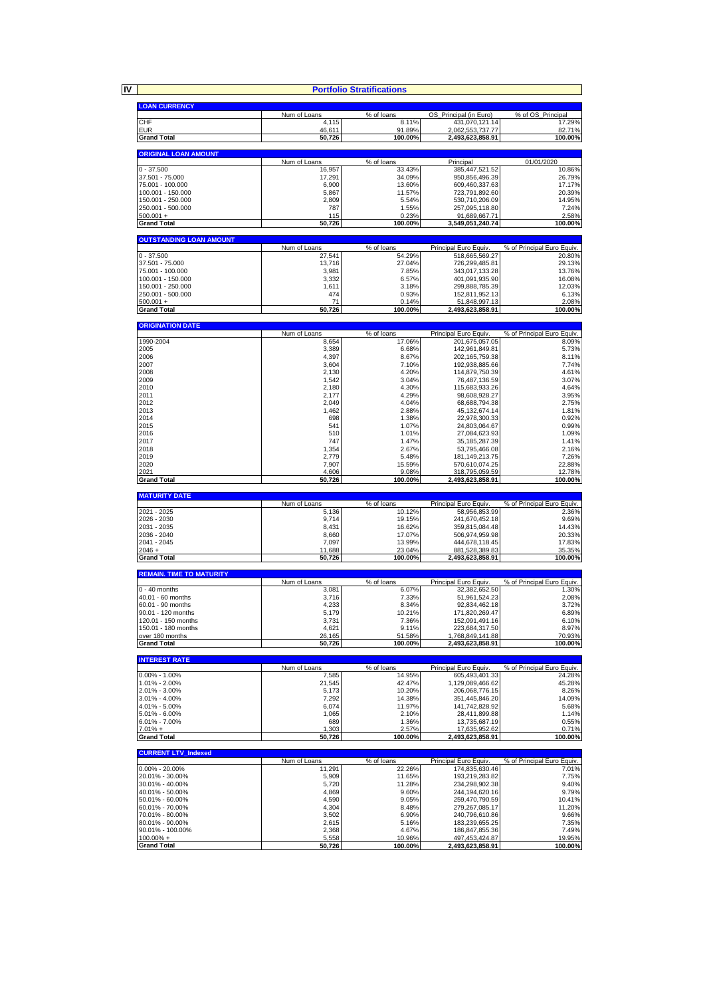**IV**

|                                        |                       | <b>Portfolio Stratifications</b> |                                         |                                      |
|----------------------------------------|-----------------------|----------------------------------|-----------------------------------------|--------------------------------------|
| <b>LOAN CURRENCY</b>                   |                       |                                  |                                         |                                      |
|                                        | Num of Loans          | % of loans                       | OS_Principal (in Euro)                  | % of OS Principal                    |
| CHF                                    | 4,115                 | 8.11%                            | 431,070,121.14                          | 17.29%                               |
| <b>EUR</b><br><b>Grand Total</b>       | 46,611                | 91.89%<br>100.00%                | 2,062,553,737.77                        | 82.71%                               |
|                                        | 50,726                |                                  | 2,493,623,858.91                        | 100.00%                              |
| <b>ORIGINAL LOAN AMOUNT</b>            |                       |                                  |                                         |                                      |
|                                        | Num of Loans          | % of loans                       | Principal                               | 01/01/2020                           |
| $0 - 37.500$<br>37.501 - 75.000        | 16,957<br>17,291      | 33.43%<br>34.09%                 | 385,447,521.52<br>950,856,496.39        | 10.86%<br>26.79%                     |
| 75.001 - 100.000                       | 6,900                 | 13.60%                           | 609,460,337.63                          | 17.17%                               |
| 100.001 - 150.000                      | 5,867                 | 11.57%                           | 723,791,892.60                          | 20.39%                               |
| 150.001 - 250.000                      | 2,809                 | 5.54%                            | 530,710,206.09                          | 14.95%                               |
| 250.001 - 500.000<br>$500.001 +$       | 787<br>115            | 1.55%<br>0.23%                   | 257,095,118.80<br>91,689,667.71         | 7.24%<br>2.58%                       |
| <b>Grand Total</b>                     | 50,726                | 100.00%                          | 3,549,051,240.74                        | 100.00%                              |
|                                        |                       |                                  |                                         |                                      |
| <b>OUTSTANDING LOAN AMOUNT</b>         | Num of Loans          |                                  |                                         |                                      |
| $0 - 37.500$                           | 27,541                | % of loans<br>54.29%             | Principal Euro Equiv.<br>518,665,569.27 | % of Principal Euro Equiv.<br>20.80% |
| 37.501 - 75.000                        | 13,716                | 27.04%                           | 726,299,485.81                          | 29.13%                               |
| 75.001 - 100.000                       | 3,981                 | 7.85%                            | 343,017,133.28                          | 13.76%                               |
| 100.001 - 150.000<br>150.001 - 250.000 | 3,332<br>1,611        | 6.57%<br>3.18%                   | 401,091,935.90<br>299,888,785.39        | 16.08%<br>12.03%                     |
| 250.001 - 500.000                      | 474                   | 0.93%                            | 152,811,952.13                          | 6.13%                                |
| $500.001 +$                            | 71                    | 0.14%                            | 51,848,997.13                           | 2.08%                                |
| <b>Grand Total</b>                     | 50,726                | 100.00%                          | 2,493,623,858.91                        | 100.00%                              |
| <b>ORIGINATION DATE</b>                |                       |                                  |                                         |                                      |
|                                        | Num of Loans          | % of loans                       | Principal Euro Equiv                    | % of Principal Euro Equiv.           |
| 1990-2004                              | 8,654                 | 17.06%                           | 201,675,057.05                          | 8.09%                                |
| 2005<br>2006                           | 3,389<br>4,397        | 6.68%<br>8.67%                   | 142,961,849.81<br>202, 165, 759. 38     | 5.73%<br>8.11%                       |
| 2007                                   | 3,604                 | 7.10%                            | 192,938,885.66                          | 7.74%                                |
| 2008                                   | 2,130                 | 4.20%                            | 114,879,750.39                          | 4.61%                                |
| 2009                                   | 1,542                 | 3.04%                            | 76,487,136.59                           | 3.07%                                |
| 2010<br>2011                           | 2,180<br>2,177        | 4.30%<br>4.29%                   | 115,683,933.26<br>98,608,928.27         | 4.64%<br>3.95%                       |
| 2012                                   | 2,049                 | 4.04%                            | 68,688,794.38                           | 2.75%                                |
| 2013                                   | 1,462                 | 2.88%                            | 45, 132, 674. 14                        | 1.81%                                |
| 2014                                   | 698                   | 1.38%                            | 22,978,300.33                           | 0.92%                                |
| 2015<br>2016                           | 541<br>510            | 1.07%<br>1.01%                   | 24,803,064.67                           | 0.99%<br>1.09%                       |
| 2017                                   | 747                   | 1.47%                            | 27,084,623.93<br>35, 185, 287. 39       | 1.41%                                |
| 2018                                   | 1,354                 | 2.67%                            | 53,795,466.08                           | 2.16%                                |
| 2019                                   | 2,779                 | 5.48%                            | 181, 149, 213. 75                       | 7.26%                                |
| 2020<br>2021                           | 7,907<br>4,606        | 15.59%<br>9.08%                  | 570,610,074.25<br>318,795,059.59        | 22.88%<br>12.78%                     |
| <b>Grand Total</b>                     | 50,726                | 100.00%                          | 2,493,623,858.91                        | 100.00%                              |
|                                        |                       |                                  |                                         |                                      |
| <b>MATURITY DATE</b>                   | Num of Loans          | % of loans                       | Principal Euro Equiv                    | % of Principal Euro Equiv.           |
| 2021 - 2025                            | 5,136                 | 10.12%                           | 58,956,853.99                           | 2.36%                                |
| 2026 - 2030                            | 9,714                 | 19.15%                           | 241,670,452.18                          | 9.69%                                |
| 2031 - 2035<br>2036 - 2040             | 8,431<br>8,660        | 16.62%<br>17.07%                 | 359,815,084.48<br>506,974,959.98        | 14.43%<br>20.33%                     |
| 2041 - 2045                            | 7,097                 | 13.99%                           | 444,678,118.45                          | 17.83%                               |
| $2046 +$                               | 11,688                | 23.04%                           | 881,528,389.83                          | 35.35%                               |
| <b>Grand Total</b>                     | 50,726                | 100.00%                          | 2,493,623,858.91                        | 100.00%                              |
| <b>REMAIN. TIME TO MATURITY</b>        |                       |                                  |                                         |                                      |
|                                        | Num of Loans          | % of loans                       | Principal Euro Equiv.                   | % of Principal Euro Equiv.           |
| $0 - 40$ months                        | 3,081                 | 6.07%                            | 32,382,652.50                           | 1.30%                                |
| 40.01 - 60 months<br>60.01 - 90 months | 3,716                 | 7.33%                            | 51,961,524.23                           | 2.08%                                |
| 90.01 - 120 months                     | 4,233<br>5,179        | 8.34%<br>10.21%                  | 92,834,462.18<br>171.820.269.47         | 3.72%<br>6.89%                       |
| 120.01 - 150 months                    | 3,731                 | 7.36%                            | 152,091,491.16                          | 6.10%                                |
| 150.01 - 180 months                    | 4,621                 | 9.11%                            | 223,684,317.50                          | 8.97%                                |
| over 180 months<br><b>Grand Total</b>  | 26,165<br>50.726      | 51.58%<br>100.00%                | 1,768,849,141.88<br>2.493.623.858.91    | 70.93%<br>100.00%                    |
|                                        |                       |                                  |                                         |                                      |
| <b>INTEREST RATE</b>                   |                       |                                  |                                         |                                      |
| $0.00\% - 1.00\%$                      | Num of Loans<br>7,585 | % of loans<br>14.95%             | Principal Euro Equiv<br>605,493,401.33  | % of Principal Euro Equiv.<br>24.28% |
| 1.01% - 2.00%                          | 21.545                | 42.47%                           | 1,129,089,466.62                        | 45.28%                               |
| 2.01% - 3.00%                          | 5,173                 | 10.20%                           | 206,068,776.15                          | 8.26%                                |
| $3.01\% - 4.00\%$                      | 7,292                 | 14.38%                           | 351,445,846.20                          | 14.09%                               |
| 4.01% - 5.00%<br>5.01% - 6.00%         | 6,074<br>1,065        | 11.97%<br>2.10%                  | 141,742,828.92<br>28,411,899.88         | 5.68%<br>1.14%                       |
| 6.01% - 7.00%                          | 689                   | 1.36%                            | 13,735,687.19                           | 0.55%                                |
| $7.01% +$                              | 1,303                 | 2.57%                            | 17,635,952.62                           | 0.71%                                |
| <b>Grand Total</b>                     | 50,726                | 100.00%                          | 2,493,623,858.91                        | 100.00%                              |
| <b>CURRENT LTV_Indexed</b>             |                       |                                  |                                         |                                      |
|                                        | Num of Loans          | $\overline{\%}$ of loans         | Principal Euro Equiv.                   | % of Principal Euro Equiv.           |
| $0.00\% - 20.00\%$                     | 11,291<br>5,909       | 22.26%                           | 174,835,630.46                          | 7.01%<br>7.75%                       |
| 20.01% - 30.00%<br>30.01% - 40.00%     | 5,720                 | 11.65%<br>11.28%                 | 193,219,283.82<br>234,298,902.38        | 9.40%                                |
| 40.01% - 50.00%                        | 4,869                 | 9.60%                            | 244,194,620.16                          | 9.79%                                |
| 50.01% - 60.00%                        | 4,590                 | 9.05%                            | 259,470,790.59                          | 10.41%                               |
| 60.01% - 70.00%<br>70.01% - 80.00%     | 4,304<br>3,502        | 8.48%<br>6.90%                   | 279,267,085.17<br>240,796,610.86        | 11.20%<br>9.66%                      |
| 80.01% - 90.00%                        | 2,615                 | 5.16%                            | 183,239,655.25                          | 7.35%                                |
| 90.01% - 100.00%                       | 2,368                 | 4.67%                            | 186,847,855.36                          | 7.49%                                |
| 100.00% +                              | 5,558                 | 10.96%                           | 497,453,424.87                          | 19.95%                               |
| <b>Grand Total</b>                     | 50,726                | 100.00%                          | 2,493,623,858.91                        | 100.00%                              |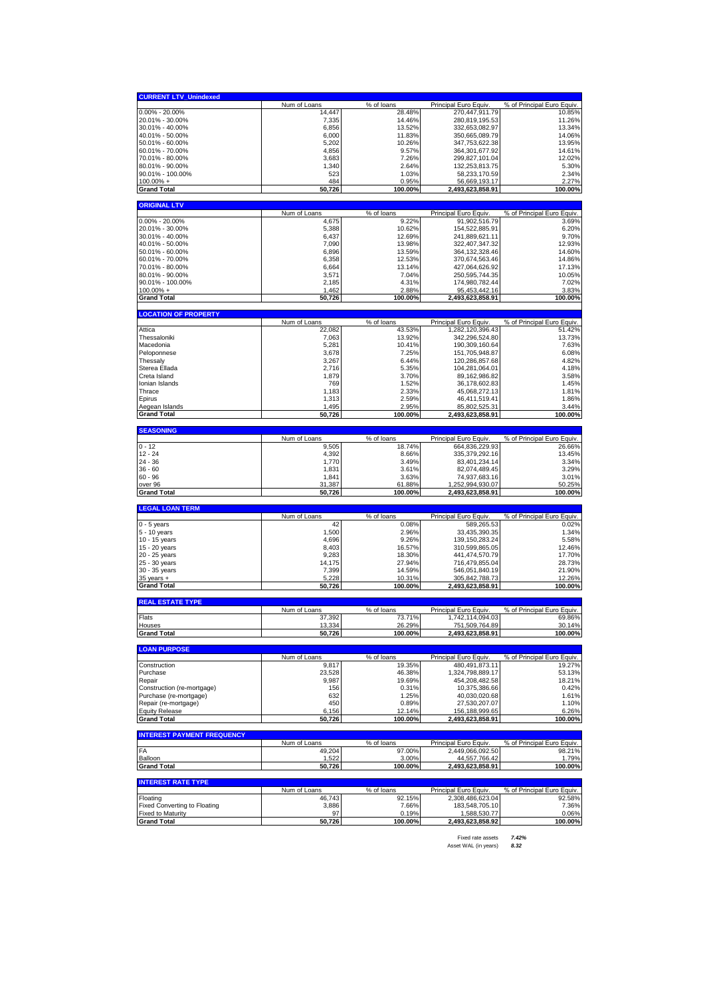| <b>CURRENT LTV_Unindexed</b>        |                  |                          |                                      |                            |
|-------------------------------------|------------------|--------------------------|--------------------------------------|----------------------------|
|                                     | Num of Loans     | % of loans               | Principal Euro Equiv.                | % of Principal Euro Equiv. |
| $0.00\% - 20.00\%$                  | 14.447           | 28.48%                   | 270,447,911.79                       | 10.85%                     |
| 20.01% - 30.00%                     | 7,335            | 14.46%                   | 280,819,195.53                       | 11.26%                     |
| 30.01% - 40.00%                     | 6,856            | 13.52%                   | 332,653,082.97                       | 13.34%                     |
| 40.01% - 50.00%                     | 6,000            | 11.83%                   | 350,665,089.79                       | 14.06%                     |
| 50.01% - 60.00%                     | 5,202            | 10.26%                   | 347,753,622.38                       | 13.95%                     |
| 60.01% - 70.00%                     | 4,856            | 9.57%                    | 364.301.677.92                       | 14.61%                     |
| 70.01% - 80.00%                     | 3,683            | 7.26%                    | 299,827,101.04                       | 12.02%                     |
| 80.01% - 90.00%                     | 1,340            | 2.64%                    | 132,253,813.75                       | 5.30%                      |
| 90.01% - 100.00%                    | 523              | 1.03%                    | 58.233.170.59                        | 2.34%                      |
| $100.00\% +$                        | 484              | 0.95%                    | 56,669,193.17                        | 2.27%                      |
| <b>Grand Total</b>                  | 50,726           | 100.00%                  | 2,493,623,858.91                     | 100.00%                    |
|                                     |                  |                          |                                      |                            |
| <b>ORIGINAL LTV</b>                 |                  |                          |                                      |                            |
|                                     | Num of Loans     | % of loans               | Principal Euro Equiv.                | % of Principal Euro Equiv. |
| $0.00\% - 20.00\%$                  | 4,675            | 9.22%                    | 91,902,516.79                        | 3.69%                      |
| 20.01% - 30.00%                     | 5,388            | 10.62%                   | 154,522,885.91                       | 6.20%                      |
| 30.01% - 40.00%                     | 6,437            | 12.69%                   | 241,889,621.11                       | 9.70%                      |
| 40.01% - 50.00%                     | 7,090            | 13.98%                   | 322,407,347.32                       | 12.93%                     |
| 50.01% - 60.00%                     | 6,896            | 13.59%                   | 364, 132, 328. 46                    | 14.60%                     |
| 60.01% - 70.00%                     | 6,358            | 12.53%                   | 370,674,563.46                       | 14.86%                     |
| 70.01% - 80.00%                     | 6,664            | 13.14%                   | 427,064,626.92                       | 17.13%                     |
| 80.01% - 90.00%                     | 3,571            | 7.04%                    | 250,595,744.35                       | 10.05%                     |
| 90.01% - 100.00%                    | 2,185            | 4.31%                    | 174,980,782.44                       | 7.02%                      |
| $100.00\% +$                        | 1,462            | 2.88%                    | 95,453,442.16                        | 3.83%                      |
| <b>Grand Total</b>                  | 50,726           | 100.00%                  | 2,493,623,858.91                     | 100.00%                    |
| <b>LOCATION OF PROPERTY</b>         |                  |                          |                                      |                            |
|                                     | Num of Loans     | % of loans               | Principal Euro Equiv                 | % of Principal Euro Equiv. |
| Attica                              | 22,082           | 43.53%                   | 1,282,120,396.43                     | 51.42%                     |
| Thessaloniki                        | 7,063            | 13.92%                   | 342,296,524.80                       | 13.73%                     |
| Macedonia                           | 5,281            | 10.41%                   | 190,309,160.64                       | 7.63%                      |
| Peloponnese                         | 3,678            | 7.25%                    | 151,705,948.87                       | 6.08%                      |
| Thessaly                            | 3,267            | 6.44%                    | 120,286,857.68                       | 4.82%                      |
| Sterea Ellada                       | 2,716            | 5.35%                    | 104,281,064.01                       | 4.18%                      |
| Creta Island                        | 1,879            | 3.70%                    | 89,162,986.82                        | 3.58%                      |
| Ionian Islands                      | 769              | 1.52%                    | 36,178,602.83                        | 1.45%                      |
| Thrace                              | 1,183            | 2.33%                    | 45,068,272.13                        | 1.81%                      |
| Epirus                              | 1,313            | 2.59%                    | 46,411,519.41                        | 1.86%                      |
| Aegean Islands                      | 1,495            | 2.95%                    | 85,802,525.31                        | 3.44%                      |
| <b>Grand Total</b>                  | 50,726           | 100.00%                  | 2,493,623,858.91                     | 100.00%                    |
|                                     |                  |                          |                                      |                            |
| <b>SEASONING</b>                    |                  |                          |                                      |                            |
|                                     | Num of Loans     | % of loans               | Principal Euro Equiv.                | % of Principal Euro Equiv. |
| $0 - 12$                            | 9,505            | 18.74%                   | 664,836,229.93                       | 26.66%                     |
| $12 - 24$                           | 4,392            | 8.66%                    | 335,379,292.16                       | 13.45%                     |
| $24 - 36$<br>$36 - 60$              | 1,770            | 3.49%                    | 83,401,234.14                        | 3.34%                      |
| $60 - 96$                           | 1,831            | 3.61%                    | 82,074,489.45                        | 3.29%                      |
|                                     | 1,841            | 3.63%                    | 74,937,683.16                        | 3.01%                      |
| over 96<br><b>Grand Total</b>       | 31,387<br>50,726 | 61.88%<br>100.00%        | 1,252,994,930.07<br>2,493,623,858.91 | 50.25%<br>100.00%          |
|                                     |                  |                          |                                      |                            |
| <b>LEGAL LOAN TERM</b>              |                  |                          |                                      |                            |
|                                     | Num of Loans     | % of loans               | Principal Euro Equiv.                | % of Principal Euro Equiv. |
| $0 - 5$ years                       | 42               | 0.08%                    | 589,265.53                           | 0.02%                      |
| 5 - 10 years                        | 1,500            | 2.96%                    | 33,435,390.35                        | 1.34%                      |
| 10 - 15 years                       | 4,696            | 9.26%                    | 139, 150, 283. 24                    | 5.58%                      |
| 15 - 20 years                       | 8,403            | 16.57%                   | 310,599,865.05                       | 12.46%                     |
| 20 - 25 years                       | 9,283            | 18.30%                   | 441,474,570.79                       | 17.70%                     |
| 25 - 30 years                       | 14,175           | 27.94%                   | 716,479,855.04                       | 28.73%                     |
| 30 - 35 years                       | 7,399            | 14.59%                   | 546,051,840.19                       | 21.90%                     |
| 35 years +                          | 5,228            | 10.31%                   | 305,842,788.73                       | 12.26%                     |
| <b>Grand Total</b>                  | 50.726           | 100.00%                  | 2,493,623,858.91                     | 100.00%                    |
| <b>REAL ESTATE TYPE</b>             |                  |                          |                                      |                            |
|                                     | Num of Loans     | % of loans               | Principal Euro Equiv.                | % of Principal Euro Equiv. |
| Flats                               | 37,392           | 73.71%                   | 1,742,114,094.03                     | 69.86%                     |
| Houses                              | 13,334           | 26.29%                   | 751,509,764.89                       | 30.14%                     |
| <b>Grand Total</b>                  | 50,726           | 100.00%                  | 2,493,623,858.91                     | 100.00%                    |
| <b>LOAN PURPOSE</b>                 |                  |                          |                                      |                            |
|                                     | Num of Loans     | % of loans               | Principal Euro Equiv.                | % of Principal Euro Equiv. |
| Construction                        | 9,817            | 19.35%                   | 480,491,873.11                       | 19.27%                     |
| Purchase                            | 23,528           | 46.38%                   | 1,324,798,889.17                     | 53.13%                     |
| Repair                              | 9,987            | 19.69%                   | 454,208,482.58                       | 18.21%                     |
| Construction (re-mortgage)          | 156              | 0.31%                    | 10,375,386.66                        | 0.42%                      |
| Purchase (re-mortgage)              | 632              | 1.25%                    | 40,030,020.68                        | 1.61%                      |
| Repair (re-mortgage)                | 450              | 0.89%                    | 27,530,207.07                        | 1.10%                      |
| <b>Equity Release</b>               | 6,156            | 12.14%                   | 156,188,999.65                       | 6.26%                      |
| <b>Grand Total</b>                  | 50,726           | 100.00%                  | 2,493,623,858.91                     | 100.00%                    |
| <b>INTEREST PAYMENT FREQUENCY</b>   |                  |                          |                                      |                            |
|                                     | Num of Loans     | $\overline{\%}$ of loans | Principal Euro Equiv.                | % of Principal Euro Equiv. |
| FA                                  | 49,204           | 97.00%                   | 2,449,066,092.50                     | 98.21%                     |
| Balloon                             | 1,522            | 3.00%                    | 44,557,766.42                        | 1.79%                      |
| <b>Grand Total</b>                  | 50,726           | 100.00%                  | 2,493,623,858.91                     | 100.00%                    |
|                                     |                  |                          |                                      |                            |
| <b>INTEREST RATE TYPE</b>           | Num of Loans     | % of loans               | Principal Euro Equiv.                | % of Principal Euro Equiv. |
| Floating                            | 46,743           | 92.15%                   | 2,308,486,623.04                     | 92.58%                     |
| <b>Fixed Converting to Floating</b> | 3,886            | 7.66%                    | 183,548,705.10                       | 7.36%                      |
| <b>Fixed to Maturity</b>            | 97               | 0.19%                    | 1,588,530.77                         | 0.06%                      |
| <b>Grand Total</b>                  | 50,726           | 100.00%                  | 2,493,623,858.92                     | 100.00%                    |

Fixed rate assets *7.42%* Asset WAL (in years) *8.32*